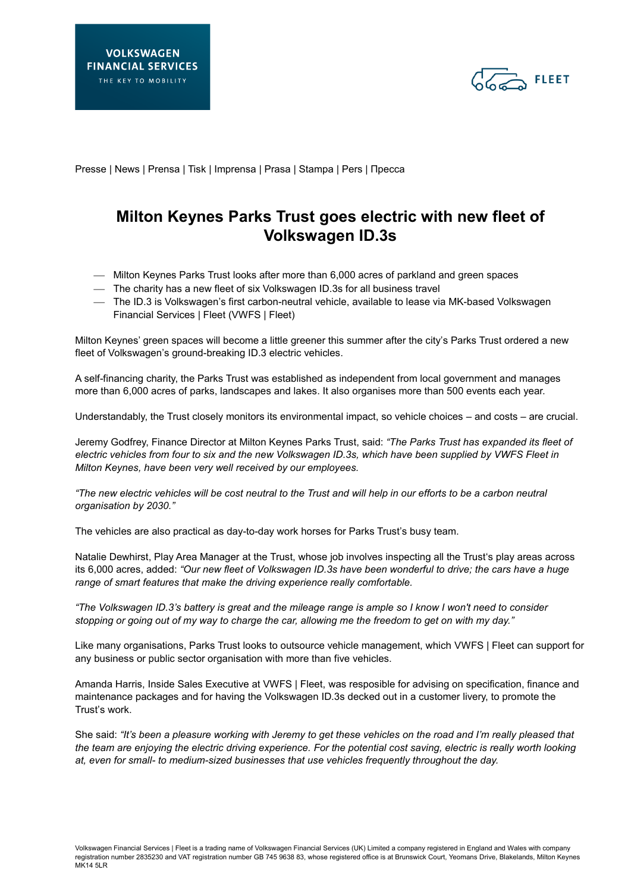

Presse | News | Prensa | Tisk | Imprensa | Prasa | Stampa | Pers | Пресса

## **Milton Keynes Parks Trust goes electric with new fleet of Volkswagen ID.3s**

- Milton Keynes Parks Trust looks after more than 6,000 acres of parkland and green spaces
- The charity has a new fleet of six Volkswagen ID.3s for all business travel
- The ID.3 is Volkswagen's first carbon-neutral vehicle, available to lease via MK-based Volkswagen Financial Services | Fleet (VWFS | Fleet)

Milton Keynes' green spaces will become a little greener this summer after the city's Parks Trust ordered a new fleet of Volkswagen's ground-breaking ID.3 electric vehicles.

A self-financing charity, the Parks Trust was established as independent from local government and manages more than 6,000 acres of parks, landscapes and lakes. It also organises more than 500 events each year.

Understandably, the Trust closely monitors its environmental impact, so vehicle choices – and costs – are crucial.

Jeremy Godfrey, Finance Director at Milton Keynes Parks Trust, said: *"The Parks Trust has expanded its fleet of electric vehicles from four to six and the new Volkswagen ID.3s, which have been supplied by VWFS Fleet in Milton Keynes, have been very well received by our employees.* 

*"The new electric vehicles will be cost neutral to the Trust and will help in our efforts to be a carbon neutral organisation by 2030."*

The vehicles are also practical as day-to-day work horses for Parks Trust's busy team.

Natalie Dewhirst, Play Area Manager at the Trust, whose job involves inspecting all the Trust's play areas across its 6,000 acres, added: *"Our new fleet of Volkswagen ID.3s have been wonderful to drive; the cars have a huge range of smart features that make the driving experience really comfortable.* 

*"The Volkswagen ID.3's battery is great and the mileage range is ample so I know I won't need to consider stopping or going out of my way to charge the car, allowing me the freedom to get on with my day."*

Like many organisations, Parks Trust looks to outsource vehicle management, which VWFS | Fleet can support for any business or public sector organisation with more than five vehicles.

Amanda Harris, Inside Sales Executive at VWFS | Fleet, was resposible for advising on specification, finance and maintenance packages and for having the Volkswagen ID.3s decked out in a customer livery, to promote the Trust's work.

She said: *"It's been a pleasure working with Jeremy to get these vehicles on the road and I'm really pleased that the team are enjoying the electric driving experience. For the potential cost saving, electric is really worth looking at, even for small- to medium-sized businesses that use vehicles frequently throughout the day.*